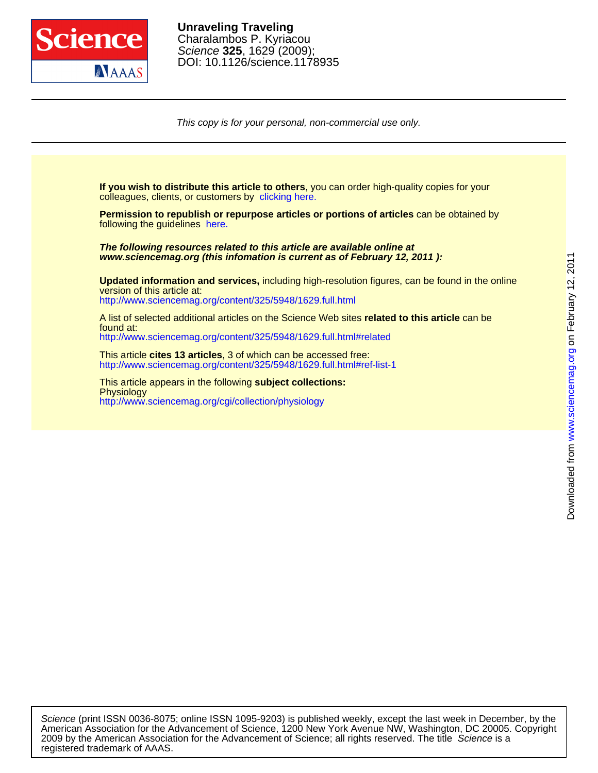

DOI: 10.1126/science.1178935 Science **325**, 1629 (2009); Charalambos P. Kyriacou **Unraveling Traveling**

This copy is for your personal, non-commercial use only.

colleagues, clients, or customers by [clicking here.](http://www.sciencemag.org/about/permissions.dtl) **If you wish to distribute this article to others**, you can order high-quality copies for your following the guidelines [here.](http://www.sciencemag.org/about/permissions.dtl) **Permission to republish or repurpose articles or portions of articles** can be obtained by **www.sciencemag.org (this infomation is current as of February 12, 2011 ): The following resources related to this article are available online at** <http://www.sciencemag.org/content/325/5948/1629.full.html> version of this article at: **Updated information and services,** including high-resolution figures, can be found in the online <http://www.sciencemag.org/content/325/5948/1629.full.html#related> found at: A list of selected additional articles on the Science Web sites **related to this article** can be <http://www.sciencemag.org/content/325/5948/1629.full.html#ref-list-1> This article **cites 13 articles**, 3 of which can be accessed free: <http://www.sciencemag.org/cgi/collection/physiology> **Physiology** This article appears in the following **subject collections:**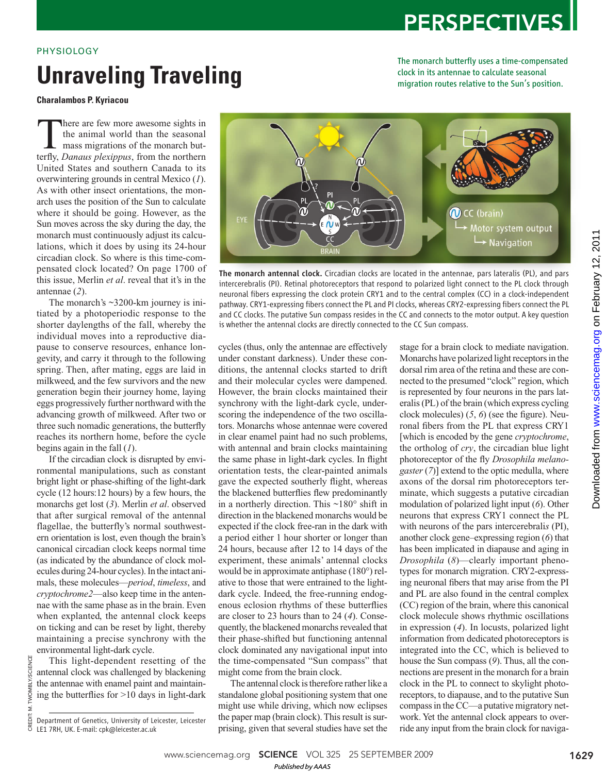## **PERSPECTIVES**

### PHYSIOLOGY

# **Unraveling Traveling**

The monarch butterfly uses a time-compensated clock in its antennae to calculate seasonal migration routes relative to the Sun's position.

**Charalambos P. Kyriacou** 

There are few more awesome sights in<br>the animal world than the seasonal<br>mass migrations of the monarch but-<br>terfly. Danaus plexingus, from the northern the animal world than the seasonal mass migrations of the monarch butterfly, *Danaus plexippus*, from the northern United States and southern Canada to its overwintering grounds in central Mexico (1). As with other insect orientations, the monarch uses the position of the Sun to calculate where it should be going. However, as the Sun moves across the sky during the day, the monarch must continuously adjust its calculations, which it does by using its 24-hour circadian clock. So where is this time-compensated clock located? On page 1700 of this issue, Merlin *et al*. reveal that it's in the antennae (2).

The monarch's ~3200-km journey is initiated by a photoperiodic response to the shorter daylengths of the fall, whereby the individual moves into a reproductive diapause to conserve resources, enhance longevity, and carry it through to the following spring. Then, after mating, eggs are laid in milkweed, and the few survivors and the new generation begin their journey home, laying eggs progressively further northward with the advancing growth of milkweed. After two or three such nomadic generations, the butterfly reaches its northern home, before the cycle begins again in the fall  $(1)$ .

If the circadian clock is disrupted by environmental manipulations, such as constant bright light or phase-shifting of the light-dark cycle (12 hours:12 hours) by a few hours, the monarchs get lost (3). Merlin et al. observed that after surgical removal of the antennal flagellae, the butterfly's normal southwestern orientation is lost, even though the brain's canonical circadian clock keeps normal time (as indicated by the abundance of clock molecules during 24-hour cycles). In the intact animals, these molecules—*period*, *timeless*, and *crypto chrome2*—also keep time in the antennae with the same phase as in the brain. Even when explanted, the antennal clock keeps on ticking and can be reset by light, thereby maintaining a precise synchrony with the environmental light-dark cycle.

This light-dependent resetting of the antennal clock was challenged by blackening the antennae with enamel paint and maintaining the butterflies for  $>10$  days in light-dark

CREDIT: M. TWOMBLY/SCIENCE

CREDIT: M.

**IWOMBLY/SCIENCE** 



The monarch antennal clock. Circadian clocks are located in the antennae, pars lateralis (PL), and pars intercerebralis (PI). Retinal photoreceptors that respond to polarized light connect to the PL clock through neuronal fibers expressing the clock protein CRY1 and to the central complex (CC) in a clock-independent pathway. CRY1-expressing fibers connect the PL and PI clocks, whereas CRY2-expressing fibers connect the PL and CC clocks. The putative Sun compass resides in the CC and connects to the motor output. A key question is whether the antennal clocks are directly connected to the CC Sun compass.

cycles (thus, only the antennae are effectively under constant darkness). Under these conditions, the antennal clocks started to drift and their molecular cycles were dampened. However, the brain clocks maintained their synchrony with the light-dark cycle, underscoring the independence of the two oscillators. Monarchs whose antennae were covered in clear enamel paint had no such problems, with antennal and brain clocks maintaining the same phase in light-dark cycles. In flight orientation tests, the clear-painted animals gave the expected southerly flight, whereas the blackened butterflies flew predominantly in a northerly direction. This ~180° shift in direction in the blackened monarchs would be expected if the clock free-ran in the dark with a period either 1 hour shorter or longer than 24 hours, because after 12 to 14 days of the experiment, these animals' antennal clocks would be in approximate antiphase (180°) relative to those that were entrained to the lightdark cycle. Indeed, the free-running endogenous eclosion rhythms of these butterflies are closer to 23 hours than to 24 (4). Consequently, the blackened monarchs revealed that their phase-shifted but functioning antennal clock dominated any navigational input into the time-compensated "Sun compass" that might come from the brain clock.

The antennal clock is therefore rather like a standalone global positioning system that one might use while driving, which now eclipses the paper map (brain clock). This result is surprising, given that several studies have set the

stage for a brain clock to mediate navigation. Monarchs have polarized light receptors in the dorsal rim area of the retina and these are connected to the presumed "clock" region, which is represented by four neurons in the pars lateralis (PL) of the brain (which express cycling clock molecules)  $(5, 6)$  (see the figure). Neuronal fibers from the PL that express CRY1 [which is encoded by the gene *cryptochrome*, the ortholog of *cry*, the circadian blue light photoreceptor of the fly *Drosophila melano*gaster (7)] extend to the optic medulla, where axons of the dorsal rim photoreceptors terminate, which suggests a putative circadian modulation of polarized light input (6). Other neurons that express CRY1 connect the PL with neurons of the pars intercerebrali*s* (PI), another clock gene–expressing region (6) that has been implicated in diapause and aging in *Drosophila* (8)—clearly important phenotypes for monarch migration. CRY2-expressing neuronal fibers that may arise from the PI and PL are also found in the central complex (CC) region of the brain, where this canonical clock molecule shows rhythmic oscillations in expression (4). In locusts, polarized light information from dedicated photoreceptors is integrated into the CC, which is believed to house the Sun compass (9). Thus, all the connections are present in the monarch for a brain clock in the PL to connect to skylight photoreceptors, to diapause, and to the putative Sun compass in the CC—a putative migratory network. Yet the antennal clock appears to override any input from the brain clock for naviga-

Department of Genetics, University of Leicester, Leicester LE1 7RH, UK. E-mail: cpk@leicester.ac.uk